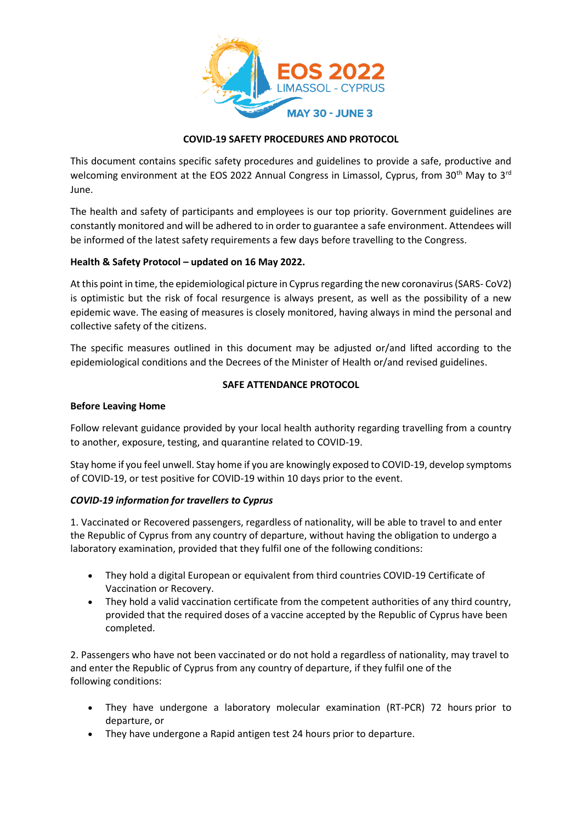

# **COVID-19 SAFETY PROCEDURES AND PROTOCOL**

This document contains specific safety procedures and guidelines to provide a safe, productive and welcoming environment at the EOS 2022 Annual Congress in Limassol, Cyprus, from 30<sup>th</sup> May to 3<sup>rd</sup> June.

The health and safety of participants and employees is our top priority. Government guidelines are constantly monitored and will be adhered to in order to guarantee a safe environment. Attendees will be informed of the latest safety requirements a few days before travelling to the Congress.

### **Health & Safety Protocol – updated on 16 May 2022.**

At this point in time, the epidemiological picture in Cyprus regarding the new coronavirus (SARS- CoV2) is optimistic but the risk of focal resurgence is always present, as well as the possibility of a new epidemic wave. The easing of measures is closely monitored, having always in mind the personal and collective safety of the citizens.

The specific measures outlined in this document may be adjusted or/and lifted according to the epidemiological conditions and the Decrees of the Minister of Health or/and revised guidelines.

### **SAFE ATTENDANCE PROTOCOL**

#### **Before Leaving Home**

Follow relevant guidance provided by your local health authority regarding travelling from a country to another, exposure, testing, and quarantine related to COVID-19.

Stay home if you feel unwell. Stay home if you are knowingly exposed to COVID-19, develop symptoms of COVID-19, or test positive for COVID-19 within 10 days prior to the event.

#### *COVID-19 information for travellers to Cyprus*

1. Vaccinated or Recovered passengers, regardless of nationality, will be able to travel to and enter the Republic of Cyprus from any country of departure, without having the obligation to undergo a laboratory examination, provided that they fulfil one of the following conditions:

- They hold a digital European or equivalent from third countries COVID-19 Certificate of Vaccination or Recovery.
- They hold a valid vaccination certificate from the competent authorities of any third country, provided that the required doses of a vaccine accepted by the Republic of Cyprus have been completed.

2. Passengers who have not been vaccinated or do not hold a regardless of nationality, may travel to and enter the Republic of Cyprus from any country of departure, if they fulfil one of the following conditions:

- They have undergone a laboratory molecular examination (RT-PCR) 72 hours prior to departure, or
- They have undergone a Rapid antigen test 24 hours prior to departure.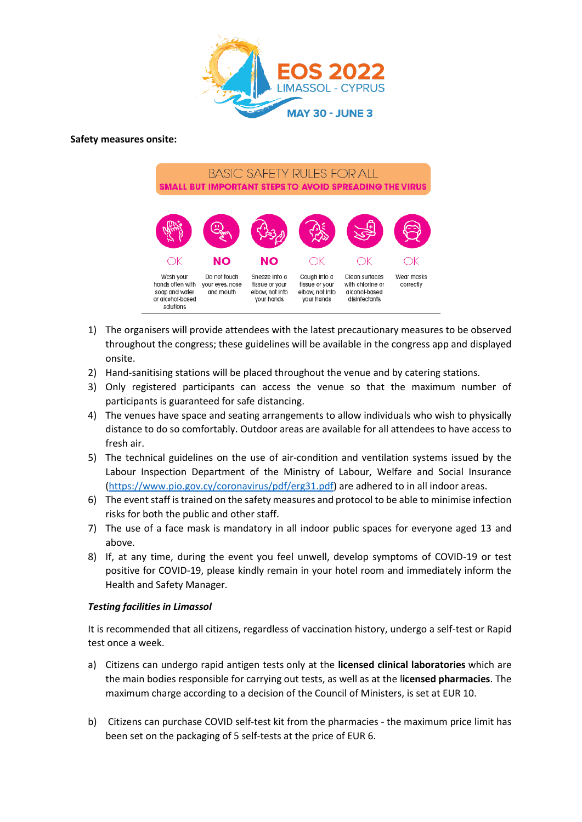

### **Safety measures onsite:**

**BASIC SAFETY RULES FOR ALL** SMALL BUT IMPORTANT STEPS TO AVOID SPREADING THE VIRUS



- 1) The organisers will provide attendees with the latest precautionary measures to be observed throughout the congress; these guidelines will be available in the congress app and displayed onsite.
- 2) Hand-sanitising stations will be placed throughout the venue and by catering stations.
- 3) Only registered participants can access the venue so that the maximum number of participants is guaranteed for safe distancing.
- 4) The venues have space and seating arrangements to allow individuals who wish to physically distance to do so comfortably. Outdoor areas are available for all attendees to have access to fresh air.
- 5) The technical guidelines on the use of air-condition and ventilation systems issued by the Labour Inspection Department of the Ministry of Labour, Welfare and Social Insurance [\(https://www.pio.gov.cy/coronavirus/pdf/erg31.pdf\)](https://www.pio.gov.cy/coronavirus/pdf/erg31.pdf) are adhered to in all indoor areas.
- 6) The event staff is trained on the safety measures and protocol to be able to minimise infection risks for both the public and other staff.
- 7) The use of a face mask is mandatory in all indoor public spaces for everyone aged 13 and above.
- 8) If, at any time, during the event you feel unwell, develop symptoms of COVID-19 or test positive for COVID-19, please kindly remain in your hotel room and immediately inform the Health and Safety Manager.

# *Testing facilities in Limassol*

It is recommended that all citizens, regardless of vaccination history, undergo a self-test or Rapid test once a week.

- a) Citizens can undergo rapid antigen tests only at the **licensed clinical laboratories** which are the main bodies responsible for carrying out tests, as well as at the l**icensed pharmacies**. The maximum charge according to a decision of the Council of Ministers, is set at EUR 10.
- b) Citizens can purchase COVID self-test kit from the pharmacies the maximum price limit has been set on the packaging of 5 self-tests at the price of EUR 6.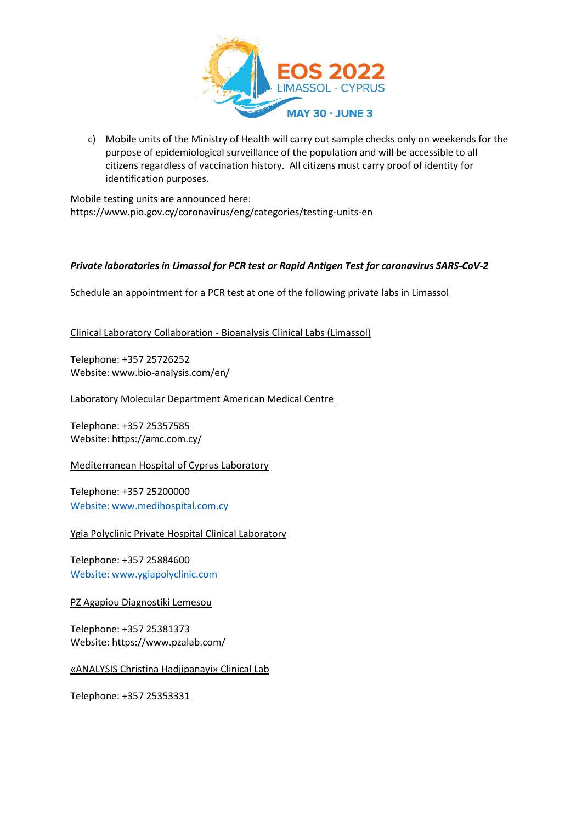

c) Mobile units of the Ministry of Health will carry out sample checks only on weekends for the purpose of epidemiological surveillance of the population and will be accessible to all citizens regardless of vaccination history. All citizens must carry proof of identity for identification purposes.

Mobile testing units are announced here: https://www.pio.gov.cy/coronavirus/eng/categories/testing-units-en

# *Private laboratories in Limassol for PCR test or Rapid Antigen Test for coronavirus SARS-CoV-2*

Schedule an appointment for a PCR test at one of the following private labs in Limassol

Clinical Laboratory Collaboration - Bioanalysis Clinical Labs (Limassol)

Telephone: +357 25726252 Website[: www.bio-analysis.com/en/](http://www.bio-analysis.com/en/)

Laboratory Molecular Department American Medical Centre

Telephone: +357 25357585 Website: <https://amc.com.cy/>

Mediterranean Hospital of Cyprus Laboratory

Telephone: +357 2520000[0](http://Website:%20www.medihospital.com.cy)  [Website: www.medihospital.com.cy](http://Website:%20www.medihospital.com.cy)

Ygia Polyclinic Private Hospital Clinical Laboratory

Telephone: +357 2588460[0](http://Website:%20www.ygiapolyclinic.com)  [Website: www.ygiapolyclinic.com](http://Website:%20www.ygiapolyclinic.com)

PZ Agapiou Diagnostiki Lemesou

Telephone: +357 25381373 Website: <https://www.pzalab.com/>

«ANALYSIS Christina Hadjipanayi» Clinical Lab

Telephone: +357 25353331